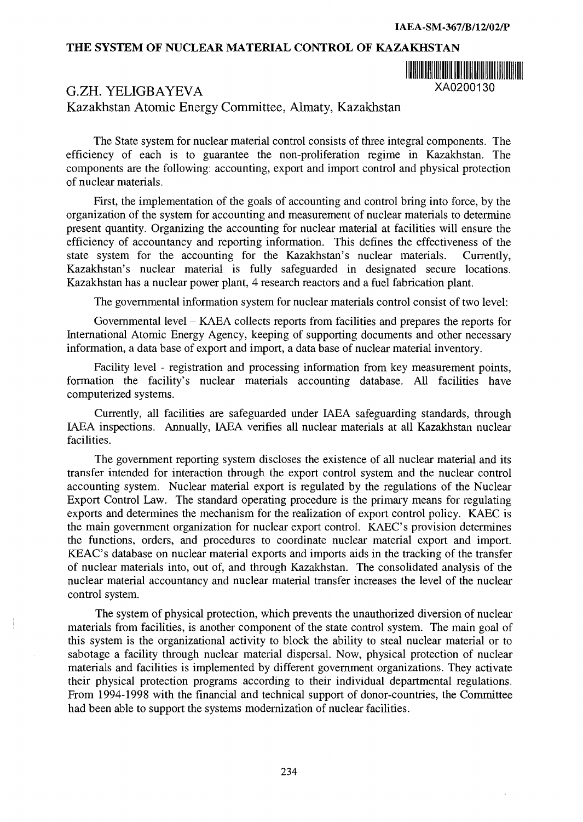## **THE SYSTEM OF NUCLEAR MATERIAL CONTROL OF KAZAKHSTAN**



## G.ZH. YELIGBAYEVA XA0200130

Kazakhstan Atomic Energy Committee, Almaty, Kazakhstan

The State system for nuclear material control consists of three integral components. The efficiency of each is to guarantee the non-proliferation regime in Kazakhstan. The components are the following: accounting, export and import control and physical protection of nuclear materials.

First, the implementation of the goals of accounting and control bring into force, by the organization of the system for accounting and measurement of nuclear materials to determine present quantity. Organizing the accounting for nuclear material at facilities will ensure the efficiency of accountancy and reporting information. This defines the effectiveness of the state system for the accounting for the Kazakhstan's nuclear materials. Currently, Kazakhstan's nuclear material is fully safeguarded in designated secure locations. Kazakhstan has a nuclear power plant, 4 research reactors and a fuel fabrication plant.

The governmental information system for nuclear materials control consist of two level:

Governmental level - KAEA collects reports from facilities and prepares the reports for International Atomic Energy Agency, keeping of supporting documents and other necessary information, a data base of export and import, a data base of nuclear material inventory.

Facility level - registration and processing information from key measurement points, formation the facility's nuclear materials accounting database. All facilities have computerized systems.

Currently, all facilities are safeguarded under IAEA safeguarding standards, through IAEA inspections. Annually, IAEA verifies all nuclear materials at all Kazakhstan nuclear facilities.

The government reporting system discloses the existence of all nuclear material and its transfer intended for interaction through the export control system and the nuclear control accounting system. Nuclear material export is regulated by the regulations of the Nuclear Export Control Law. The standard operating procedure is the primary means for regulating exports and determines the mechanism for the realization of export control policy. KAEC is the main government organization for nuclear export control. KAEC's provision determines the functions, orders, and procedures to coordinate nuclear material export and import. KEAC's database on nuclear material exports and imports aids in the tracking of the transfer of nuclear materials into, out of, and through Kazakhstan. The consolidated analysis of the nuclear material accountancy and nuclear material transfer increases the level of the nuclear control system.

The system of physical protection, which prevents the unauthorized diversion of nuclear materials from facilities, is another component of the state control system. The main goal of this system is the organizational activity to block the ability to steal nuclear material or to sabotage a facility through nuclear material dispersal. Now, physical protection of nuclear materials and facilities is implemented by different government organizations. They activate their physical protection programs according to their individual departmental regulations. From 1994-1998 with the financial and technical support of donor-countries, the Committee had been able to support the systems modernization of nuclear facilities.